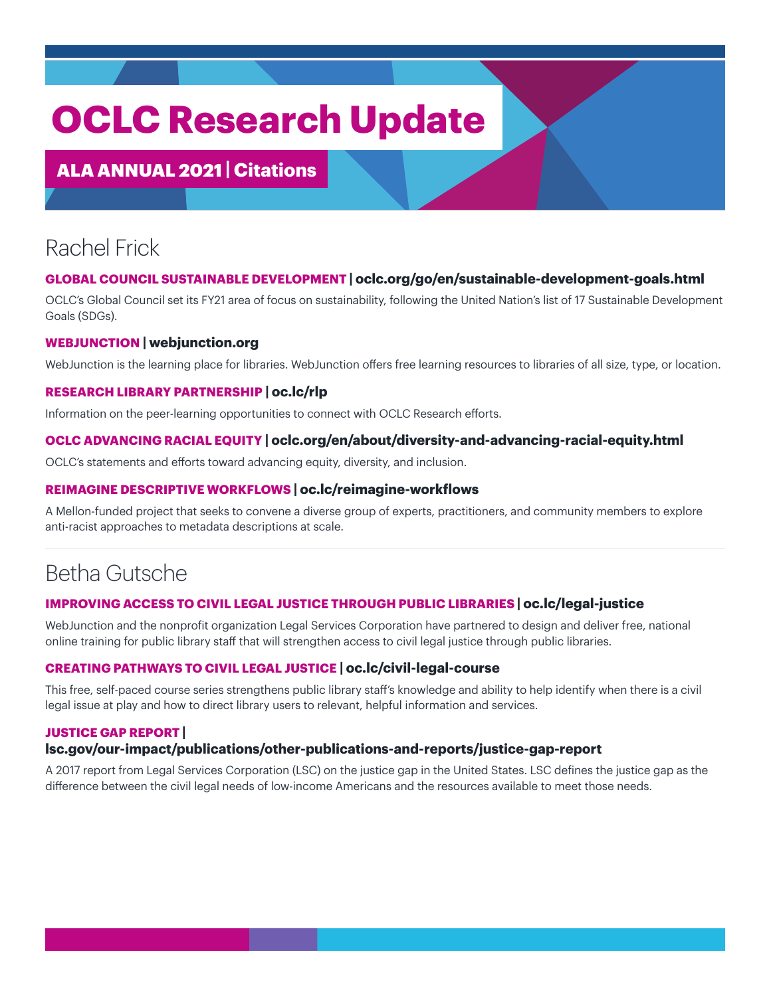# **OCLC Research Update**

### ALA ANNUAL 2021 **| Citations**

# Rachel Frick

#### **GLOBAL COUNCIL SUSTAINABLE DEVELOPMENT | [oclc.org/go/en/sustainable-development-goals.html](http://oclc.org/go/en/sustainable-development-goals.html)**

OCLC's Global Council set its FY21 area of focus on sustainability, following the United Nation's list of 17 Sustainable Development Goals (SDGs).

#### **WEBJUNCTION | [webjunction.org](http://webjunction.org)**

WebJunction is the learning place for libraries. WebJunction offers free learning resources to libraries of all size, type, or location.

#### **RESEARCH LIBRARY PARTNERSHIP | [oc.lc/rlp](http://oc.lc/rlp)**

Information on the peer-learning opportunities to connect with OCLC Research efforts.

#### **OCLC ADVANCING RACIAL EQUITY | [oclc.org/en/about/diversity-and-advancing-racial-equity.html](http://oclc.org/en/about/diversity-and-advancing-racial-equity.html)**

OCLC's statements and efforts toward advancing equity, diversity, and inclusion.

#### **REIMAGINE DESCRIPTIVE WORKFLOWS | [oc.lc/reimagine-workflows](http://oc.lc/reimagine-workflows)**

A Mellon-funded project that seeks to convene a diverse group of experts, practitioners, and community members to explore anti-racist approaches to metadata descriptions at scale.

### Betha Gutsche

#### **IMPROVING ACCESS TO CIVIL LEGAL JUSTICE THROUGH PUBLIC LIBRARIES | [oc.lc/legal-justice](http://oc.lc/legal-justice)**

WebJunction and the nonprofit organization Legal Services Corporation have partnered to design and deliver free, national online training for public library staff that will strengthen access to civil legal justice through public libraries.

#### **CREATING PATHWAYS TO CIVIL LEGAL JUSTICE | [oc.lc/civil-legal-course](http://oc.lc/civil-legal-course)**

This free, self-paced course series strengthens public library staff's knowledge and ability to help identify when there is a civil legal issue at play and how to direct library users to relevant, helpful information and services.

#### **JUSTICE GAP REPORT |**

#### **[lsc.gov/our-impact/publications/other-publications-and-reports/justice-gap-report](http://lsc.gov/our-impact/publications/other-publications-and-reports/justice-gap-report)**

A 2017 report from Legal Services Corporation (LSC) on the justice gap in the United States. LSC defines the justice gap as the difference between the civil legal needs of low-income Americans and the resources available to meet those needs.